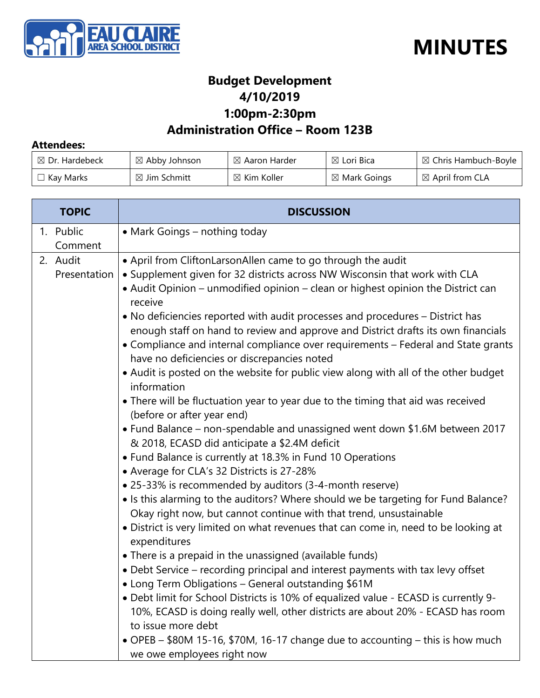



### **Budget Development 4/10/2019 1:00pm-2:30pm**

#### **Administration Office – Room 123B**

#### **Attendees:**

| $\boxtimes$ Dr. Hardebeck | $\boxtimes$ Abby Johnson | $\boxtimes$ Aaron Harder | $\boxtimes$ Lori Bica   | $\boxtimes$ Chris Hambuch-Boyle |
|---------------------------|--------------------------|--------------------------|-------------------------|---------------------------------|
| $\Box$ Kay Marks          | $\boxtimes$ Jim Schmitt  | $\boxtimes$ Kim Koller   | $\boxtimes$ Mark Goings | $\boxtimes$ April from CLA      |

| <b>TOPIC</b>             | <b>DISCUSSION</b>                                                                                                                                                                                                                                                                                                                                                                                                                                                                                                                                                                                                                                                                                                                                                                                                                                                                                                                                                                                                                                                                                                                                                                                                                                                                                                                                                                                                                                                                                                                                                                                                                                                                                                                                                                                                                                                           |  |
|--------------------------|-----------------------------------------------------------------------------------------------------------------------------------------------------------------------------------------------------------------------------------------------------------------------------------------------------------------------------------------------------------------------------------------------------------------------------------------------------------------------------------------------------------------------------------------------------------------------------------------------------------------------------------------------------------------------------------------------------------------------------------------------------------------------------------------------------------------------------------------------------------------------------------------------------------------------------------------------------------------------------------------------------------------------------------------------------------------------------------------------------------------------------------------------------------------------------------------------------------------------------------------------------------------------------------------------------------------------------------------------------------------------------------------------------------------------------------------------------------------------------------------------------------------------------------------------------------------------------------------------------------------------------------------------------------------------------------------------------------------------------------------------------------------------------------------------------------------------------------------------------------------------------|--|
| 1. Public<br>Comment     | • Mark Goings - nothing today                                                                                                                                                                                                                                                                                                                                                                                                                                                                                                                                                                                                                                                                                                                                                                                                                                                                                                                                                                                                                                                                                                                                                                                                                                                                                                                                                                                                                                                                                                                                                                                                                                                                                                                                                                                                                                               |  |
| 2. Audit<br>Presentation | • April from CliftonLarsonAllen came to go through the audit<br>• Supplement given for 32 districts across NW Wisconsin that work with CLA<br>• Audit Opinion – unmodified opinion – clean or highest opinion the District can<br>receive<br>• No deficiencies reported with audit processes and procedures – District has<br>enough staff on hand to review and approve and District drafts its own financials<br>• Compliance and internal compliance over requirements - Federal and State grants<br>have no deficiencies or discrepancies noted<br>• Audit is posted on the website for public view along with all of the other budget<br>information<br>• There will be fluctuation year to year due to the timing that aid was received<br>(before or after year end)<br>• Fund Balance – non-spendable and unassigned went down \$1.6M between 2017<br>& 2018, ECASD did anticipate a \$2.4M deficit<br>• Fund Balance is currently at 18.3% in Fund 10 Operations<br>• Average for CLA's 32 Districts is 27-28%<br>• 25-33% is recommended by auditors (3-4-month reserve)<br>• Is this alarming to the auditors? Where should we be targeting for Fund Balance?<br>Okay right now, but cannot continue with that trend, unsustainable<br>• District is very limited on what revenues that can come in, need to be looking at<br>expenditures<br>• There is a prepaid in the unassigned (available funds)<br>• Debt Service - recording principal and interest payments with tax levy offset<br>• Long Term Obligations - General outstanding \$61M<br>. Debt limit for School Districts is 10% of equalized value - ECASD is currently 9-<br>10%, ECASD is doing really well, other districts are about 20% - ECASD has room<br>to issue more debt<br>• OPEB - \$80M 15-16, \$70M, 16-17 change due to accounting - this is how much<br>we owe employees right now |  |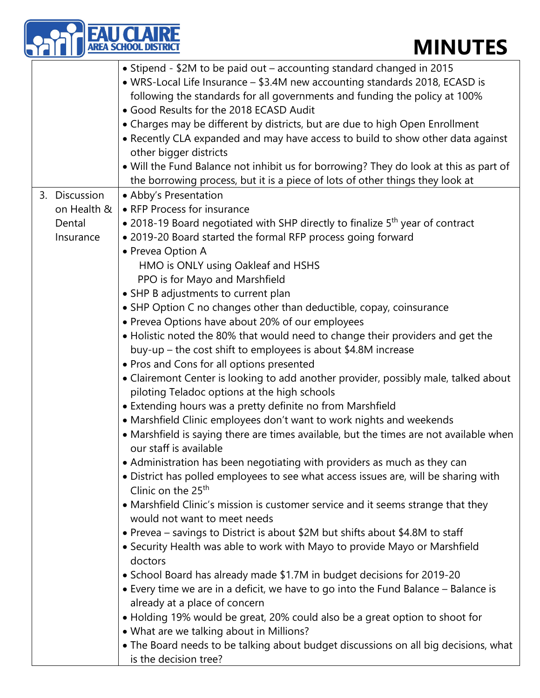## **MINUTES**

|                                                     | <b>MINUTES</b>                                                                                                                                                                                                                                                                                                                                                                                                                                                                                                                                                                                                                                                                                                                                                                                                                                                                                                                                                                                                                                                                                                                                                                                                                                                                                                                                                                                                                                                                                                                                                                                                                                                                                                                                                                                                                                                                                                                                                                                                                                                                                                    |
|-----------------------------------------------------|-------------------------------------------------------------------------------------------------------------------------------------------------------------------------------------------------------------------------------------------------------------------------------------------------------------------------------------------------------------------------------------------------------------------------------------------------------------------------------------------------------------------------------------------------------------------------------------------------------------------------------------------------------------------------------------------------------------------------------------------------------------------------------------------------------------------------------------------------------------------------------------------------------------------------------------------------------------------------------------------------------------------------------------------------------------------------------------------------------------------------------------------------------------------------------------------------------------------------------------------------------------------------------------------------------------------------------------------------------------------------------------------------------------------------------------------------------------------------------------------------------------------------------------------------------------------------------------------------------------------------------------------------------------------------------------------------------------------------------------------------------------------------------------------------------------------------------------------------------------------------------------------------------------------------------------------------------------------------------------------------------------------------------------------------------------------------------------------------------------------|
|                                                     | • Stipend - \$2M to be paid out – accounting standard changed in 2015<br>• WRS-Local Life Insurance - \$3.4M new accounting standards 2018, ECASD is<br>following the standards for all governments and funding the policy at 100%<br>• Good Results for the 2018 ECASD Audit<br>• Charges may be different by districts, but are due to high Open Enrollment<br>• Recently CLA expanded and may have access to build to show other data against<br>other bigger districts<br>. Will the Fund Balance not inhibit us for borrowing? They do look at this as part of                                                                                                                                                                                                                                                                                                                                                                                                                                                                                                                                                                                                                                                                                                                                                                                                                                                                                                                                                                                                                                                                                                                                                                                                                                                                                                                                                                                                                                                                                                                                               |
| 3. Discussion<br>on Health &<br>Dental<br>Insurance | the borrowing process, but it is a piece of lots of other things they look at<br>• Abby's Presentation<br>• RFP Process for insurance<br>• 2018-19 Board negotiated with SHP directly to finalize 5 <sup>th</sup> year of contract<br>. 2019-20 Board started the formal RFP process going forward<br>• Prevea Option A<br>HMO is ONLY using Oakleaf and HSHS<br>PPO is for Mayo and Marshfield<br>• SHP B adjustments to current plan<br>• SHP Option C no changes other than deductible, copay, coinsurance<br>• Prevea Options have about 20% of our employees<br>• Holistic noted the 80% that would need to change their providers and get the<br>buy-up – the cost shift to employees is about \$4.8M increase<br>• Pros and Cons for all options presented<br>• Clairemont Center is looking to add another provider, possibly male, talked about<br>piloting Teladoc options at the high schools<br>• Extending hours was a pretty definite no from Marshfield<br>• Marshfield Clinic employees don't want to work nights and weekends<br>• Marshfield is saying there are times available, but the times are not available when<br>our staff is available<br>• Administration has been negotiating with providers as much as they can<br>· District has polled employees to see what access issues are, will be sharing with<br>Clinic on the 25 <sup>th</sup><br>• Marshfield Clinic's mission is customer service and it seems strange that they<br>would not want to meet needs<br>• Prevea – savings to District is about \$2M but shifts about \$4.8M to staff<br>• Security Health was able to work with Mayo to provide Mayo or Marshfield<br>doctors<br>• School Board has already made \$1.7M in budget decisions for 2019-20<br>• Every time we are in a deficit, we have to go into the Fund Balance - Balance is<br>already at a place of concern<br>• Holding 19% would be great, 20% could also be a great option to shoot for<br>• What are we talking about in Millions?<br>• The Board needs to be talking about budget discussions on all big decisions, what<br>is the decision tree? |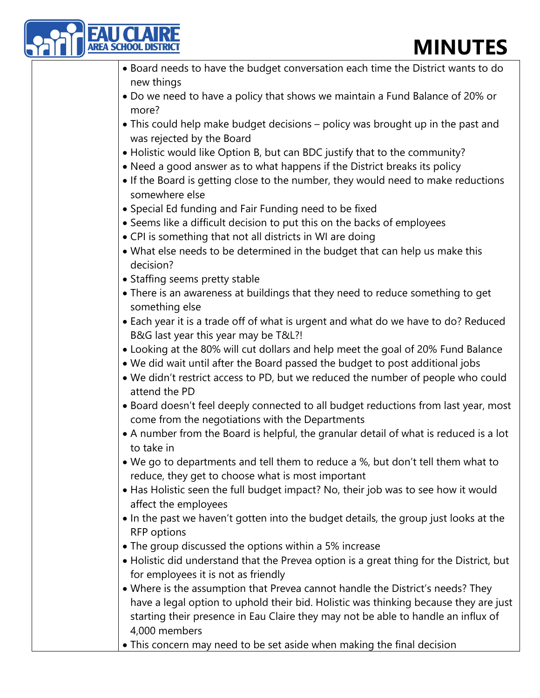## **MINUTES**

| <b>EAU CLAIRE</b><br>• Board needs to have the budget conversation each time the District wants to do<br>new things<br>• Do we need to have a policy that shows we maintain a Fund Balance of 20% or | <b>MINUTES</b> |
|------------------------------------------------------------------------------------------------------------------------------------------------------------------------------------------------------|----------------|
|                                                                                                                                                                                                      |                |
|                                                                                                                                                                                                      |                |
|                                                                                                                                                                                                      |                |
| more?                                                                                                                                                                                                |                |
| . This could help make budget decisions - policy was brought up in the past and                                                                                                                      |                |
| was rejected by the Board                                                                                                                                                                            |                |
| • Holistic would like Option B, but can BDC justify that to the community?                                                                                                                           |                |
| • Need a good answer as to what happens if the District breaks its policy                                                                                                                            |                |
| • If the Board is getting close to the number, they would need to make reductions<br>somewhere else                                                                                                  |                |
| · Special Ed funding and Fair Funding need to be fixed                                                                                                                                               |                |
| • Seems like a difficult decision to put this on the backs of employees                                                                                                                              |                |
| . CPI is something that not all districts in WI are doing                                                                                                                                            |                |
| . What else needs to be determined in the budget that can help us make this<br>decision?                                                                                                             |                |
| • Staffing seems pretty stable                                                                                                                                                                       |                |
| . There is an awareness at buildings that they need to reduce something to get                                                                                                                       |                |
| something else                                                                                                                                                                                       |                |
| • Each year it is a trade off of what is urgent and what do we have to do? Reduced<br>B&G last year this year may be T&L?!                                                                           |                |
| • Looking at the 80% will cut dollars and help meet the goal of 20% Fund Balance                                                                                                                     |                |
| . We did wait until after the Board passed the budget to post additional jobs                                                                                                                        |                |
| . We didn't restrict access to PD, but we reduced the number of people who could<br>attend the PD                                                                                                    |                |
| . Board doesn't feel deeply connected to all budget reductions from last year, most                                                                                                                  |                |
| come from the negotiations with the Departments<br>• A number from the Board is helpful, the granular detail of what is reduced is a lot                                                             |                |
| to take in                                                                                                                                                                                           |                |
| . We go to departments and tell them to reduce a %, but don't tell them what to                                                                                                                      |                |
| reduce, they get to choose what is most important                                                                                                                                                    |                |
| • Has Holistic seen the full budget impact? No, their job was to see how it would                                                                                                                    |                |
| affect the employees<br>• In the past we haven't gotten into the budget details, the group just looks at the                                                                                         |                |
| <b>RFP</b> options                                                                                                                                                                                   |                |
| • The group discussed the options within a 5% increase                                                                                                                                               |                |
| • Holistic did understand that the Prevea option is a great thing for the District, but                                                                                                              |                |
| for employees it is not as friendly                                                                                                                                                                  |                |
| . Where is the assumption that Prevea cannot handle the District's needs? They                                                                                                                       |                |
| have a legal option to uphold their bid. Holistic was thinking because they are just<br>starting their presence in Eau Claire they may not be able to handle an influx of<br>4,000 members           |                |

• This concern may need to be set aside when making the final decision